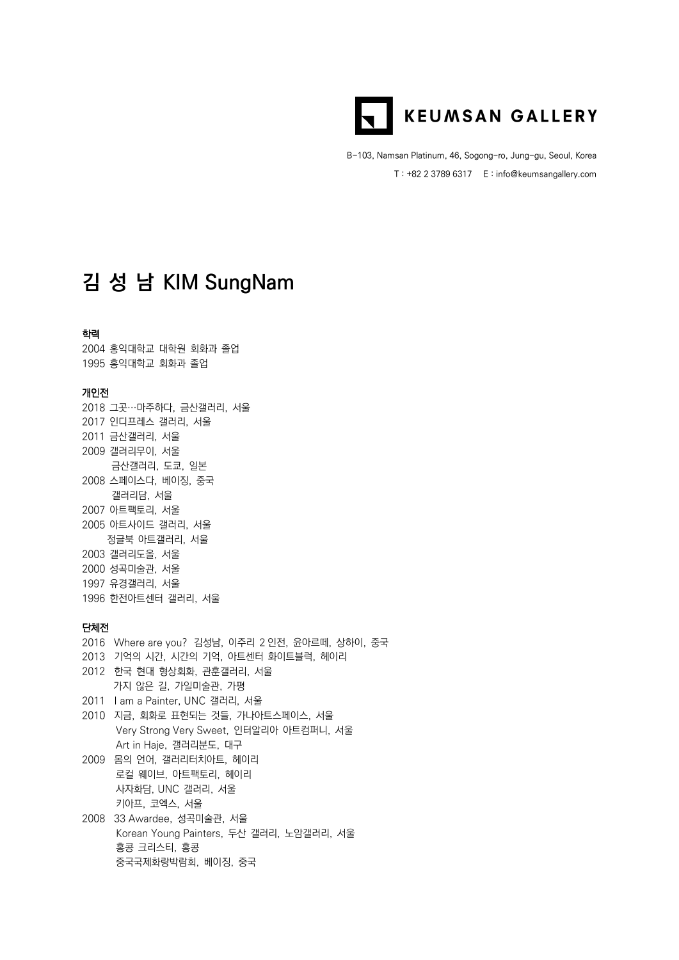

B-103, Namsan Platinum, 46, Sogong-ro, Jung-gu, Seoul, Korea T : +82 2 3789 6317 E : info@keumsangallery.com

# **김 성 남 KIM SungNam**

#### 학력

2004 홍익대학교 대학원 회화과 졸업 1995 홍익대학교 회화과 졸업

## 개인전

그곳…마주하다, 금산갤러리, 서울 인디프레스 갤러리, 서울 금산갤러리, 서울 갤러리무이, 서울 금산갤러리, 도쿄, 일본 스페이스다, 베이징, 중국 갤러리담, 서울 아트팩토리, 서울 아트사이드 갤러리, 서울 정글북 아트갤러리, 서울 갤러리도올, 서울 성곡미술관, 서울 유경갤러리, 서울 한전아트센터 갤러리, 서울

### 단체전

2016 Where are you? 김성남, 이주리 2 인전, 윤아르떼, 상하이, 중국 2013 기억의 시간, 시간의 기억, 아트센터 화이트블럭, 헤이리 2012 한국 현대 형상회화, 관훈갤러리, 서울 가지 않은 길, 가일미술관, 가평 2011 I am a Painter, UNC 갤러리, 서울 2010 지금, 회화로 표현되는 것들, 가나아트스페이스, 서울 Very Strong Very Sweet, 인터알리아 아트컴퍼니, 서울 Art in Haje, 갤러리분도, 대구 2009 몸의 언어, 갤러리터치아트, 헤이리 로컬 웨이브, 아트팩토리, 헤이리 사자화담, UNC 갤러리, 서울 키아프, 코엑스, 서울 2008 33 Awardee, 성곡미술관, 서울 Korean Young Painters, 두산 갤러리, 노암갤러리, 서울 홍콩 크리스티, 홍콩

중국국제화랑박람회, 베이징, 중국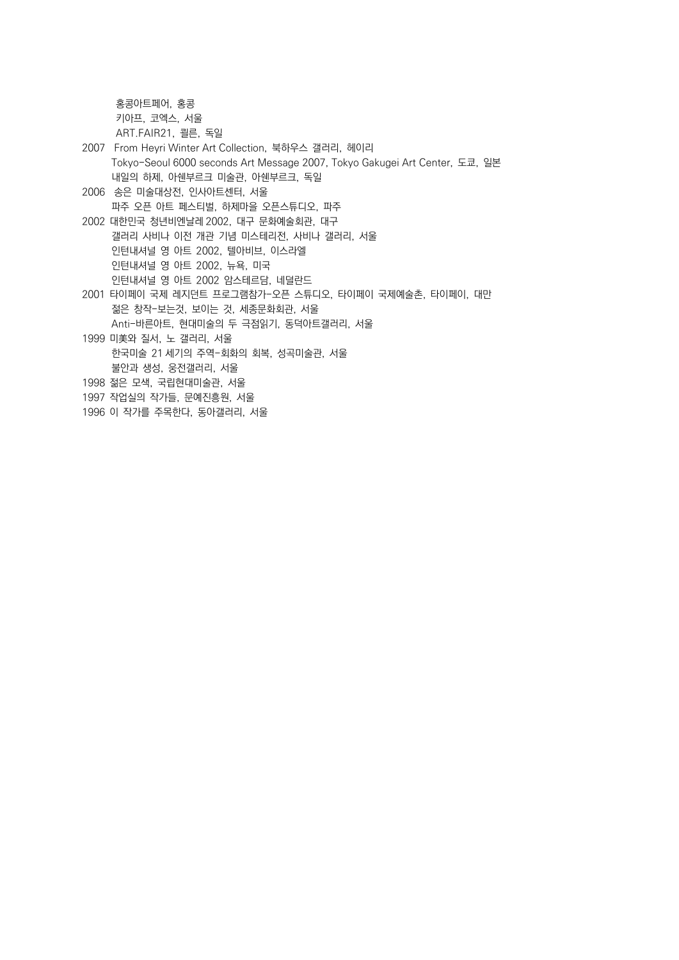홍콩아트페어, 홍콩 키아프, 코엑스, 서울 ART.FAIR21, 쾰른, 독일 2007 From Heyri Winter Art Collection, 북하우스 갤러리, 헤이리 Tokyo-Seoul 6000 seconds Art Message 2007, Tokyo Gakugei Art Center, 도쿄, 일본 내일의 하제, 아쉔부르크 미술관, 아쉔부르크, 독일 2006 송은 미술대상전, 인사아트센터, 서울 파주 오픈 아트 페스티벌, 하제마을 오픈스튜디오, 파주 2002 대한민국 청년비엔날레 2002, 대구 문화예술회관, 대구 갤러리 사비나 이전 개관 기념 미스테리전, 사비나 갤러리, 서울 인턴내셔널 영 아트 2002, 텔아비브, 이스라엘 인턴내셔널 영 아트 2002, 뉴욕, 미국 인턴내셔널 영 아트 2002 암스테르담, 네덜란드 2001 타이페이 국제 레지던트 프로그램참가-오픈 스튜디오, 타이페이 국제예술촌, 타이페이, 대만 젊은 창작-보는것, 보이는 것, 세종문화회관, 서울 Anti-바른아트, 현대미술의 두 극점읽기, 동덕아트갤러리, 서울 1999 미美와 질서, 노 갤러리, 서울 한국미술 21 세기의 주역-회화의 회복, 성곡미술관, 서울 불안과 생성, 웅전갤러리, 서울 1998 젊은 모색, 국립현대미술관, 서울 1997 작업실의 작가들, 문예진흥원, 서울 1996 이 작가를 주목한다, 동아갤러리, 서울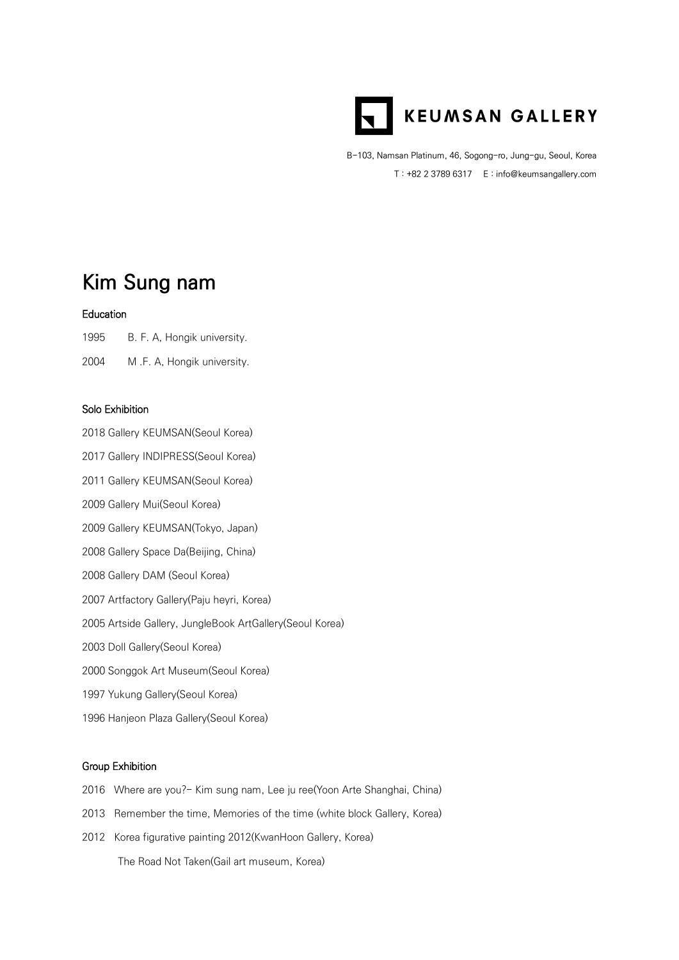

B-103, Namsan Platinum, 46, Sogong-ro, Jung-gu, Seoul, Korea T : +82 2 3789 6317 E : info@keumsangallery.com

# **Kim Sung nam**

#### Education

1995 B. F. A, Hongik university.

2004 M .F. A, Hongik university.

### Solo Exhibition

2018 Gallery KEUMSAN(Seoul Korea)

2017 Gallery INDIPRESS(Seoul Korea)

2011 Gallery KEUMSAN(Seoul Korea)

2009 Gallery Mui(Seoul Korea)

2009 Gallery KEUMSAN(Tokyo, Japan)

2008 Gallery Space Da(Beijing, China)

2008 Gallery DAM (Seoul Korea)

2007 Artfactory Gallery(Paju heyri, Korea)

2005 Artside Gallery, JungleBook ArtGallery(Seoul Korea)

2003 Doll Gallery(Seoul Korea)

2000 Songgok Art Museum(Seoul Korea)

1997 Yukung Gallery(Seoul Korea)

1996 Hanjeon Plaza Gallery(Seoul Korea)

### Group Exhibition

- 2016 Where are you?- Kim sung nam, Lee ju ree(Yoon Arte Shanghai, China)
- 2013 Remember the time, Memories of the time (white block Gallery, Korea)
- 2012 Korea figurative painting 2012(KwanHoon Gallery, Korea) The Road Not Taken(Gail art museum, Korea)